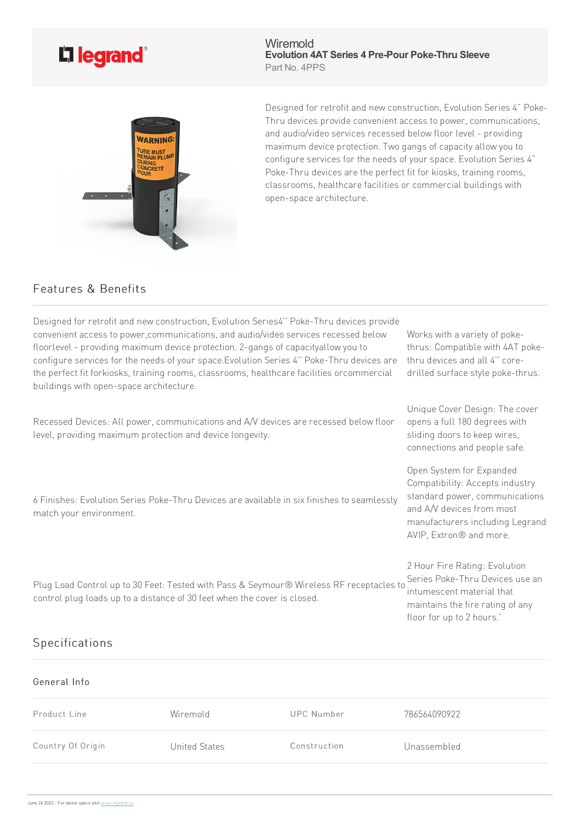## L<sub>legrand</sub>®

**Wiremold Evolution 4AT Series 4 Pre-Pour Poke-Thru Sleeve** Part No. 4PPS



Designed for retrofit and new construction, Evolution Series 4" Poke-Thru devices provide convenient access to power, communications, and audio/video services recessed below floor level - providing maximum device protection. Two gangs of capacity allow you to configure services for the needs of your space. Evolution Series 4" Poke-Thru devices are the perfect fit for kiosks, training rooms, classrooms, healthcare facilities or commercial buildings with open-space architecture.

## Features & Benefits

| Designed for retrofit and new construction, Evolution Series4" Poke-Thru devices provide<br>convenient access to power, communications, and audio/video services recessed below<br>floorlevel - providing maximum device protection. 2-gangs of capacityallow you to<br>configure services for the needs of your space. Evolution Series 4" Poke-Thru devices are<br>the perfect fit forkiosks, training rooms, classrooms, healthcare facilities orcommercial<br>buildings with open-space architecture. | Works with a variety of poke-<br>thrus: Compatible with 4AT poke-<br>thru devices and all 4" core-<br>drilled surface style poke-thrus.                                                  |
|-----------------------------------------------------------------------------------------------------------------------------------------------------------------------------------------------------------------------------------------------------------------------------------------------------------------------------------------------------------------------------------------------------------------------------------------------------------------------------------------------------------|------------------------------------------------------------------------------------------------------------------------------------------------------------------------------------------|
| Recessed Devices: All power, communications and A/V devices are recessed below floor<br>level, providing maximum protection and device longevity.                                                                                                                                                                                                                                                                                                                                                         | Unique Cover Design: The cover<br>opens a full 180 degrees with<br>sliding doors to keep wires,<br>connections and people safe.                                                          |
| 6 Finishes: Evolution Series Poke-Thru Devices are available in six finishes to seamlessly<br>match your environment.                                                                                                                                                                                                                                                                                                                                                                                     | Open System for Expanded<br>Compatibility: Accepts industry<br>standard power, communications<br>and A/V devices from most<br>manufacturers including Legrand<br>AVIP, Extron® and more. |
| Plug Load Control up to 30 Feet: Tested with Pass & Seymour® Wireless RF receptacles to<br>control plug loads up to a distance of 30 feet when the cover is closed.                                                                                                                                                                                                                                                                                                                                       | 2 Hour Fire Rating: Evolution<br>Series Poke-Thru Devices use an<br>intumescent material that<br>maintains the fire rating of any<br>floor for up to 2 hours.'                           |

## Specifications

## General Info

| Product Line      | Wiremold      | UPC Number   | 786564090922 |
|-------------------|---------------|--------------|--------------|
| Country Of Origin | United States | Construction | Unassembled  |